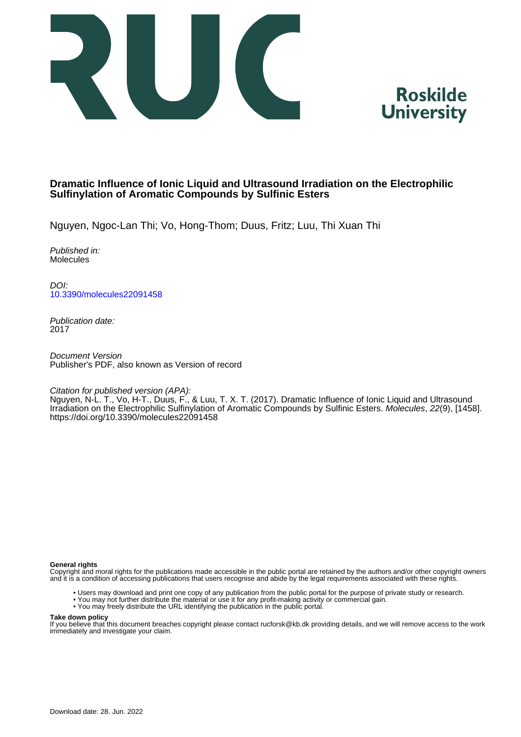



# **Dramatic Influence of Ionic Liquid and Ultrasound Irradiation on the Electrophilic Sulfinylation of Aromatic Compounds by Sulfinic Esters**

Nguyen, Ngoc-Lan Thi; Vo, Hong-Thom; Duus, Fritz; Luu, Thi Xuan Thi

Published in: **Molecules** 

DOI: [10.3390/molecules22091458](https://doi.org/10.3390/molecules22091458)

Publication date: 2017

Document Version Publisher's PDF, also known as Version of record

Citation for published version (APA):

Nguyen, N-L. T., Vo, H-T., Duus, F., & Luu, T. X. T. (2017). Dramatic Influence of Ionic Liquid and Ultrasound Irradiation on the Electrophilic Sulfinylation of Aromatic Compounds by Sulfinic Esters. Molecules, 22(9), [1458]. <https://doi.org/10.3390/molecules22091458>

#### **General rights**

Copyright and moral rights for the publications made accessible in the public portal are retained by the authors and/or other copyright owners and it is a condition of accessing publications that users recognise and abide by the legal requirements associated with these rights.

- Users may download and print one copy of any publication from the public portal for the purpose of private study or research.
- You may not further distribute the material or use it for any profit-making activity or commercial gain.
- You may freely distribute the URL identifying the publication in the public portal.

#### **Take down policy**

If you believe that this document breaches copyright please contact rucforsk@kb.dk providing details, and we will remove access to the work immediately and investigate your claim.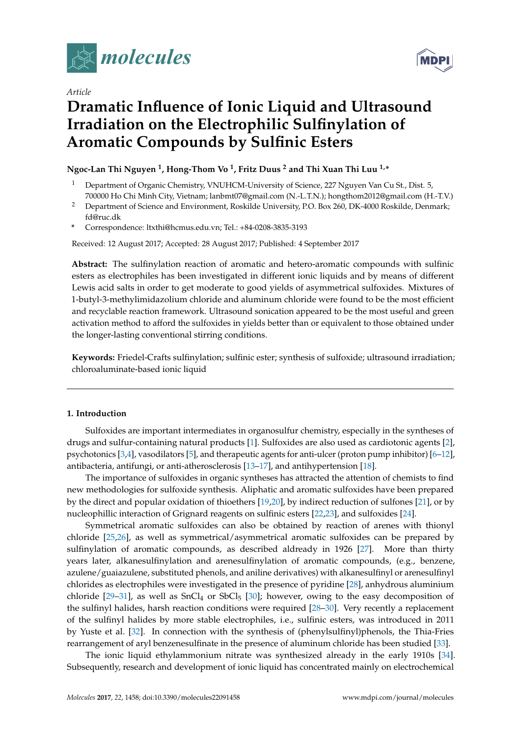

*Article*



# **Dramatic Influence of Ionic Liquid and Ultrasound Irradiation on the Electrophilic Sulfinylation of Aromatic Compounds by Sulfinic Esters**

# **Ngoc-Lan Thi Nguyen <sup>1</sup> , Hong-Thom Vo <sup>1</sup> , Fritz Duus <sup>2</sup> and Thi Xuan Thi Luu 1,\***

- <sup>1</sup> Department of Organic Chemistry, VNUHCM-University of Science, 227 Nguyen Van Cu St., Dist. 5, 700000 Ho Chi Minh City, Vietnam; lanbmt07@gmail.com (N.-L.T.N.); hongthom2012@gmail.com (H.-T.V.)
- <sup>2</sup> Department of Science and Environment, Roskilde University, P.O. Box 260, DK-4000 Roskilde, Denmark; fd@ruc.dk
- **\*** Correspondence: ltxthi@hcmus.edu.vn; Tel.: +84-0208-3835-3193

Received: 12 August 2017; Accepted: 28 August 2017; Published: 4 September 2017

**Abstract:** The sulfinylation reaction of aromatic and hetero-aromatic compounds with sulfinic esters as electrophiles has been investigated in different ionic liquids and by means of different Lewis acid salts in order to get moderate to good yields of asymmetrical sulfoxides. Mixtures of 1-butyl-3-methylimidazolium chloride and aluminum chloride were found to be the most efficient and recyclable reaction framework. Ultrasound sonication appeared to be the most useful and green activation method to afford the sulfoxides in yields better than or equivalent to those obtained under the longer-lasting conventional stirring conditions.

**Keywords:** Friedel-Crafts sulfinylation; sulfinic ester; synthesis of sulfoxide; ultrasound irradiation; chloroaluminate-based ionic liquid

## **1. Introduction**

Sulfoxides are important intermediates in organosulfur chemistry, especially in the syntheses of drugs and sulfur-containing natural products [\[1\]](#page-10-0). Sulfoxides are also used as cardiotonic agents [\[2\]](#page-10-1), psychotonics [\[3,](#page-10-2)[4\]](#page-10-3), vasodilators [\[5\]](#page-10-4), and therapeutic agents for anti-ulcer (proton pump inhibitor) [\[6](#page-10-5)[–12\]](#page-11-0), antibacteria, antifungi, or anti-atherosclerosis [\[13](#page-11-1)[–17\]](#page-11-2), and antihypertension [\[18\]](#page-11-3).

The importance of sulfoxides in organic syntheses has attracted the attention of chemists to find new methodologies for sulfoxide synthesis. Aliphatic and aromatic sulfoxides have been prepared by the direct and popular oxidation of thioethers [\[19,](#page-11-4)[20\]](#page-11-5), by indirect reduction of sulfones [\[21\]](#page-11-6), or by nucleophillic interaction of Grignard reagents on sulfinic esters [\[22](#page-11-7)[,23\]](#page-11-8), and sulfoxides [\[24\]](#page-11-9).

Symmetrical aromatic sulfoxides can also be obtained by reaction of arenes with thionyl chloride [\[25](#page-11-10)[,26\]](#page-11-11), as well as symmetrical/asymmetrical aromatic sulfoxides can be prepared by sulfinylation of aromatic compounds, as described aldready in 1926 [\[27\]](#page-11-12). More than thirty years later, alkanesulfinylation and arenesulfinylation of aromatic compounds, (e.g., benzene, azulene/guaiazulene, substituted phenols, and aniline derivatives) with alkanesulfinyl or arenesulfinyl chlorides as electrophiles were investigated in the presence of pyridine [\[28\]](#page-11-13), anhydrous aluminium chloride [\[29](#page-11-14)[–31\]](#page-11-15), as well as  $SnCl<sub>4</sub>$  or  $SbCl<sub>5</sub>$  [\[30\]](#page-11-16); however, owing to the easy decomposition of the sulfinyl halides, harsh reaction conditions were required [\[28–](#page-11-13)[30\]](#page-11-16). Very recently a replacement of the sulfinyl halides by more stable electrophiles, i.e., sulfinic esters, was introduced in 2011 by Yuste et al. [\[32\]](#page-11-17). In connection with the synthesis of (phenylsulfinyl)phenols, the Thia-Fries rearrangement of aryl benzenesulfinate in the presence of aluminum chloride has been studied [\[33\]](#page-11-18).

The ionic liquid ethylammonium nitrate was synthesized already in the early 1910s [\[34\]](#page-11-19). Subsequently, research and development of ionic liquid has concentrated mainly on electrochemical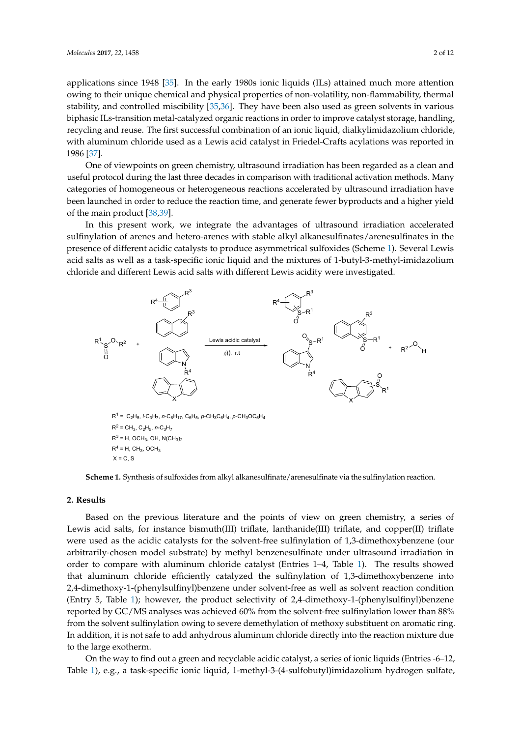applications since 1948 [\[35\]](#page-11-20). In the early 1980s ionic liquids (ILs) attained much more attention owing to their unique chemical and physical properties of non-volatility, non-flammability, thermal stability, and controlled miscibility [\[35,](#page-11-20)[36\]](#page-12-0). They have been also used as green solvents in various stability, and controlled miscibility [35,36]. They have been also used as green solvents in various<br>biphasic ILs-transition metal-catalyzed organic reactions in order to improve catalyst storage, handling, recycling and reuse. The first successful combination of an ionic liquid, dialkylimidazolium chloride, with alum[inum](#page-12-1) chloride used as a Lewis acid catalyst in Friedel-Crafts acylations was reported in<br>1986 [37]. 1986 [37].

One of viewpoints on green chemistry, ultrasound irradiation has been regarded as a clean and useful protocol during the last three decades in comparison with traditional activation methods. Many categories of homogeneous or heterogeneous reactions accelerated by ultrasound irradiation have been launched in order to reduce the reaction time, and generate fewer byproducts and a higher yield of the main product [38,39]. One of viewpoints on green chemistry, ultrasound irradiation has been regarded as a clean and<br>useful protocol during the last three decades in comparison with traditional activation methods. Many<br>categories of homogeneous

In this present work, we integrate the advantages of ultrasound irradiation accelerated In this present work, we integrate the advantages of ultrasound irradiation accelerated<br>sulfinylation of arenes and hetero-arenes with stable alkyl alkanesulfinates/arenesulfinates in the presence of different acidic catalysts to produce asymmetrical sulfoxides (Scheme 1). Several Lewis presence of different acidic catalysts to produce asymmetrical sulfoxides (Scheme 1). Several Lewis<br>aci[d s](#page-2-0)alts as well as a task-specific ionic liquid and the mixtures of 1-butyl-3-methyl-imidazolium chloride and different Lewis acid salts with different Lewis acidity were investigated. Lewis acid salts with different Lewis acidity were investigated.

<span id="page-2-0"></span>

Scheme 1. Synthesis of sulfoxides from alkyl alkanesulfinate/arenesulfinate via the sulfinylation reaction.

# **2. Results 2. Results**

Based on the previous literature and the points of view on green chemistry, a series of Lewis acid salts, for instance bismuth(III) triflate, lanthanide(III) triflate, and copper(II) triflate were used as the acidic catalysts for the solvent-free sulfinylation of 1,3-dimethoxybenzene (our arbitrarily-chosen model substrate) by methyl benzenesulfinate under ultrasound irradiation in order to compare with aluminum chloride catalyst (Entries 1–4, Table [1\)](#page-3-0). The results showed that aluminum chloride efficiently catalyzed the sulfinylation of 1,3-dimethoxybenzene into 2,4-dimethoxy-1-(phenylsulfinyl)benzene under solvent-free as well as solvent reaction condition (Entry 5, Table [1\)](#page-3-0); however, the product selectivity of 2,4-dimethoxy-1-(phenylsulfinyl)benzene reported by GC/MS analyses was achieved 60% from the solvent-free sulfinylation lower than 88% from the solvent sulfinylation owing to severe demethylation of methoxy substituent on aromatic ring. In addition, it is not safe to add anhydrous aluminum chloride directly into the reaction mixture due to the large exotherm.

On the way to find out a green and recyclable acidic catalyst, a series of ionic liquids (Entries -6–12, Table [1\)](#page-3-0), e.g., a task-specific ionic liquid, 1-methyl-3-(4-sulfobutyl)imidazolium hydrogen sulfate,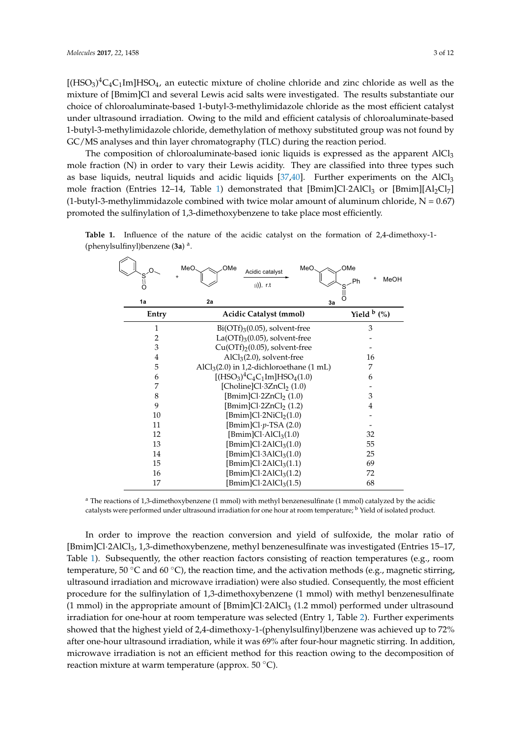$[(HSO<sub>3</sub>)<sup>4</sup>C<sub>4</sub>C<sub>1</sub>Im]HSO<sub>4</sub>$ , an eutectic mixture of choline chloride and zinc chloride as well as the mixture of [Bmim]Cl and several Lewis acid salts were investigated. The results substantiate our choice of chloroaluminate-based 1-butyl-3-methylimidazole chloride as the most efficient catalyst under ultrasound irradiation. Owing to the mild and efficient catalysis of chloroaluminate-based 1-butyl-3-methylimidazole chloride, demethylation of methoxy substituted group was not found by GC/MS analyses and thin layer chromatography (TLC) during the reaction period. analyses and thin layer chromatography (TLC) during the reaction period. choice of chloroaluminate-based 1-buty1-3-methylimidazole chloride as the most efficient catalyst<br>under ultrasound irradiation. Owing to the mild and efficient catalysis of chloroaluminate-based<br>1-butyl-3-methylimidazole c

The composition of chloroaluminate-based ionic liquids is expressed as the apparent AlCl<sub>3</sub> mole fraction (N) in order to vary their Lewis acidity. They are classified into three types such as base liquids, neutral liquids and acidic liquids  $[37,40]$ . Further [ex](#page-12-1)[peri](#page-12-4)ments on the AlCl<sub>3</sub> [m](#page-3-0)ole fraction (Entries 12–14, Table 1) demonstrated that  $[Bmim]Cl·2AlCl<sub>3</sub>$  or  $[Bmim] [Al<sub>2</sub>Cl<sub>7</sub>]$ (1-butyl-3-methylimmidazole combined with twice molar amount of aluminum chloride,  $N = 0.67$ ) promoted the sulfinylation of 1,3-dimethoxybenzene to take place most efficiently.

| OMe<br>MeO<br>MeO<br>OMe<br>Acidic catalyst<br>S<br>Ph<br>())), r.t<br>S<br>റ | ÷<br>MeOH |
|-------------------------------------------------------------------------------|-----------|
| റ<br>1a<br>2a<br>3a                                                           |           |
| Yield $\flat$ (%)<br>Acidic Catalyst (mmol)<br>Entry                          |           |
| 3<br>1<br>$Bi(OTf)_3(0.05)$ , solvent-free                                    |           |
| $La(OTf)_{3}(0.05)$ , solvent-free<br>2                                       |           |
| 3<br>$Cu(OTf)2(0.05)$ , solvent-free                                          |           |
| $AlCl3(2.0)$ , solvent-free<br>$\overline{4}$<br>16                           |           |
| 5<br>$AICl3(2.0)$ in 1,2-dichloroethane (1 mL)<br>7                           |           |
| $[(HSO3)4C4C1Im]HSO4(1.0)]$<br>6<br>6                                         |           |
| 7<br>[Choline] $Cl·3ZnCl2 (1.0)$                                              |           |
| 8<br>3<br>[Bmim]Cl $\cdot$ 2ZnCl <sub>2</sub> (1.0)                           |           |
| [Bmim] $Cl·2ZnCl2$ (1.2)<br>9<br>4                                            |           |
| 10<br>[Bmim]Cl $\cdot$ 2NiCl $_2(1.0)$ ]                                      |           |
| [Bmim]Cl· $p$ -TSA (2.0)<br>11                                                |           |
| 12<br>[Bmim]Cl·AlCl <sub>3</sub> $(1.0)$<br>32                                |           |
| 55<br>13<br>[Bmim]Cl $\cdot$ 2AlCl <sub>3</sub> (1.0)                         |           |
| [Bmim]Cl $\cdot$ 3AlCl <sub>3</sub> (1.0)<br>25<br>14                         |           |
| 15<br>[Bmim]Cl $\cdot$ 2AlCl <sub>3</sub> (1.1)<br>69                         |           |
| [Bmim]Cl·2AlCl <sub>3</sub> (1.2)<br>72<br>16                                 |           |
| 17<br>[Bmim]Cl·2AlCl <sub>3</sub> (1.5)<br>68                                 |           |

<span id="page-3-0"></span>Table 1. Influence of the nature of the acidic catalyst on the formation of 2,4-dimethoxy-1-(phenylsulfinyl)benzene (**3a**) a . benzene (**3a**) a.

<sup>a</sup> The reactions of 1,3-dimethoxybenzene (1 mmol) with methyl benzenesulfinate (1 mmol) catalyzed by the acidic catalysts were performed under ultrasound irradiation for one hour at room temperature; <sup>b</sup> Yield of isolated product.

In order to improve the reaction conversion and yield of sulfoxide, the molar ratio of [Bmim]Cl·2AlCl<sub>3</sub>, 1,3-dimethoxybenzene, methyl benzenesulfinate was investigated (Entries 15–17, temperature,  $50^\circ \text{C}$  and  $60^\circ \text{C}$ ), the reaction time, and the activation methods (e.g., magnetic stirring, [Bmim]Cl·2AlCl3, 1,3-dimethoxybenzene, methyl benzenesulfinate was investigated (Entries 15–17, ultrasound irradiation and microwave irradiation) were also studied. Consequently, the most efficient procedure for the sulfinylation of 1,3-dimethoxybenzene (1 mmol) with methyl benzenesulfinate temperature is the channel of experiment of  $\sim$  2.50 community constructed (e.g., magnetic stricture) is constructed methods (1 mmol) in the appropriate amount of [Bmim]Cl·2AlCl<sub>3</sub> (1.2 mmol) performed under ultrasound irradiation for one-hour at room temperature was selected (Entry 1, Table [2\)](#page-4-0). Further experiments procedure for the submer control of 1,3-dimethoxy-1-(phenylsulfinyl)benzene was achieved up to 72% after one-hour ultrasound irradiation, while it was 69% after four-hour magnetic stirring. In addition, microwave irradiation is not an efficient method for this reaction owing to the decomposition of  $s$ showed that the highest  $\epsilon$  of  $2,4$ -dimensional phenomenophylsulfing  $\epsilon$  (phenomenophylsulfing)  $\epsilon$ reaction mixture at warm temperature (approx.  $50 °C$ ). Table [1\)](#page-3-0). Subsequently, the other reaction factors consisting of reaction temperatures (e.g., room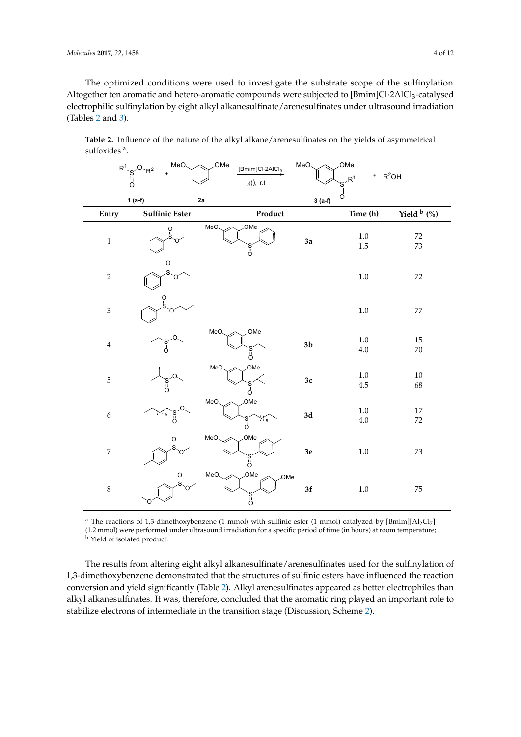The optimized conditions were used to investigate the substrate scope of the sulfinylation. Altogether ten aromatic and hetero-aromatic compounds were subjected to [Bmim]Cl·2AlCl<sub>3</sub>-catalysed electrophilic sulfinylation by eight alkyl alkanesulfinate/arenesulfinates under ultrasound irradiation (Tables [2](#page-4-0) and [3\)](#page-5-0).

|                  | MeO<br>$R^{1}_{\substack{S\\  C\\O}} 0, R^{2}$ | OMe<br>[Bmim]Cl-2AICl <sub>3</sub><br>)))), r.t | MeO           | OMe<br>$+$ R <sup>2</sup> OH<br>$\begin{bmatrix} S & R^1 \\ 0 & \end{bmatrix}$ |                         |
|------------------|------------------------------------------------|-------------------------------------------------|---------------|--------------------------------------------------------------------------------|-------------------------|
|                  | $1(a-f)$                                       | 2a                                              | $3(a-f)$      |                                                                                |                         |
| Entry            | Sulfinic Ester                                 | Product                                         |               | Time (h)                                                                       | Yield $\frac{b}{b}$ (%) |
| $\mathbf 1$      | Ö<br>'n                                        | OMe<br>MeO<br>$\int_{0}^{8}$                    | 3a            | $1.0\,$<br>$1.5\,$                                                             | $72\,$<br>73            |
| $\sqrt{2}$       | $Q = Q$                                        |                                                 |               | $1.0\,$                                                                        | $72\,$                  |
| $\mathfrak{Z}$   | ດ<br>ຊ<br>റ                                    |                                                 |               | $1.0\,$                                                                        | $77\,$                  |
| $\bf 4$          | Ο.<br>`S´<br>Ö                                 | OMe<br>MeO<br>$\int_{0}^{\infty}$               | $3\mathrm{b}$ | $1.0\,$<br>$4.0\,$                                                             | $15\,$<br>$70\,$        |
| $\overline{5}$   | .O.<br>$\sum_{i=0}^{n}$                        | OMe<br>MeO<br>`s<br>Ö                           | 3c            | $1.0\,$<br>$4.5\,$                                                             | $10\,$<br>68            |
| $\boldsymbol{6}$ | O.<br>$\int_{0}^{5}$<br>5                      | OMe<br>MeO<br>$W_5$<br>$\int_{0}^{8}$           | $3\mathrm{d}$ | $1.0\,$<br>$4.0\,$                                                             | $17\,$<br>$72\,$        |
| $\boldsymbol{7}$ | $S_{\sim}^{\circ}$<br>'n                       | OMe<br>MeO.<br>`Ş´                              | $3\mathrm{e}$ | $1.0\,$                                                                        | $73\,$                  |
| $\,8\,$          | S <sub>1</sub>                                 | OMe<br>MeO.<br>OMe<br>$\frac{1}{2}$             | 3f            | $1.0\,$                                                                        | $75\,$                  |

<span id="page-4-0"></span>Table 2. Influence of the nature of the alkyl alkane/arenesulfinates on the yields of asymmetrical sulfoxides a. **Table 2.** Influence of the nature of the alkyl alkane/arenesulfinates on the yields of asymmetrical sulfoxides a *Molecules* **2017**, *22*, 1458 4 of 11  $\frac{1}{2}$   $\frac{1}{2}$   $\frac{1}{2}$   $\frac{1}{2}$   $\frac{1}{2}$   $\frac{1}{2}$   $\frac{1}{2}$   $\frac{1}{2}$   $\frac{1}{2}$   $\frac{1}{2}$   $\frac{1}{2}$   $\frac{1}{2}$   $\frac{1}{2}$   $\frac{1}{2}$   $\frac{1}{2}$   $\frac{1}{2}$   $\frac{1}{2}$   $\frac{1}{2}$   $\frac{1}{2}$   $\frac{1}{2}$   $\frac{1}{2}$   $\frac{1}{2}$  *Molecules a 2017* 

<sup>a</sup> The reactions of 1,3-dimethoxybenzene (1 mmol) with sulfinic  $(1.2 \times 10^{-16})$  $\mathcal{L}$  algorithm is the performed under under under under under under under under under under under under under under under under under under under under under under under under under under under under under under under <sup>a</sup> The reactions of 1,3-dimethoxybenzene (1 mmol) with sulfinic ester (1 mmol) catalyzed by [Bmim][Al<sub>2</sub>Cl<sub>7</sub>] a The reactions of 1,3-dimethoxybenzene (1 mmol) with sulfinic ester (1 mmol) catalyzed by <sup>a</sup> The reactions of 1,3-dimethoxybenzene (1 mmol) with sulfinic ester (1 mmol) catalyzed by [Bmim][Al<sub>2</sub>Cl<sub>7</sub>]

a The reactions of 1,3-dimethoxybenzene (1 mmol) with sulfinic ester (1 mmol) catalyzed by

 $(1.2 \text{ mmol})$  were performed under ultrasound irradiation for a specific period of time (in hours) at room temperature;<br>b Viald of isolated product 1,3-dimeter of solid that the structures of sulfinite that the structures have influenced the reaction of  $\frac{1}{\sqrt{2}}$ <sup>b</sup> Yield of isolated product. The results from altering eight alkyl alkanesulfinate/arenesulfinates used for the sulfinylation of The results from altering eight alkyl alkanesulfinate/arenesulfinates used for the sulfinylation of b Yield of isolated product. The reactions of  $T_{i}$ , anneutoxybenzeme (1 minor) whit summe ester (1 minor) catalyzed by [bmini][ $AT_{2}C_{7}$ ]<br>(1.2 mmol) were performed under ultrasound irradiation for a specific period of time (in hours) at room tempe

conversion and yield significantly (Table 2). Alkyl arenesulfinates appeared as better electrophiles the results from altering eight alkyl alkanesulfinate, are resultinates used for the summy lation of r<sub>o</sub>-different to specifie definitions of the transition state in the transition state in the transition,  $\sigma$ kyi aikanesulfinates. It was, therefore, concluded that the aromatic ring played an important role to<br>. hiling clastrans of intermediate in the transition stage (Diametics, Cohena.<sup>2)</sup> **Entry Arene Product Time (h) Yield <sup>b</sup>** The results from altering eight alkyl alkanesulfinate/arenesulfinates used for the sulfinylation of 1,3-dimethoxybenzene demonstrated that the structures of sulfinic esters have influenced the reaction conversion and yield significantly (Table 2). Alkyl arenesulfin[ate](#page-4-0)s appeared as better electron stabilize electrons of inter[me](#page-6-0)diate in the transition stage (Discussion, Scheme 2). The results from altering eight alkyl alkanesulfinate/arenesulfinates used for the sulfinylation of 1,3-dimethoxybenzene demonstrated that the structures of sulfinic esters have influenced the reaction conversion and yield significantly (Table 2). Alkyl arenesulfinates appeared as better electrophiles than alkyl alkanesulfinates. It was, therefore, concluded that the aromatic ring played an important role to **Table 3.** Influence of the nature of the aromatic compounds on the sulfinylation using methyl benzenesulfinate a. **Table 3.** Influence of the nature of the aromatic compounds on the sulfinylation using methyl benzenesulfinate a.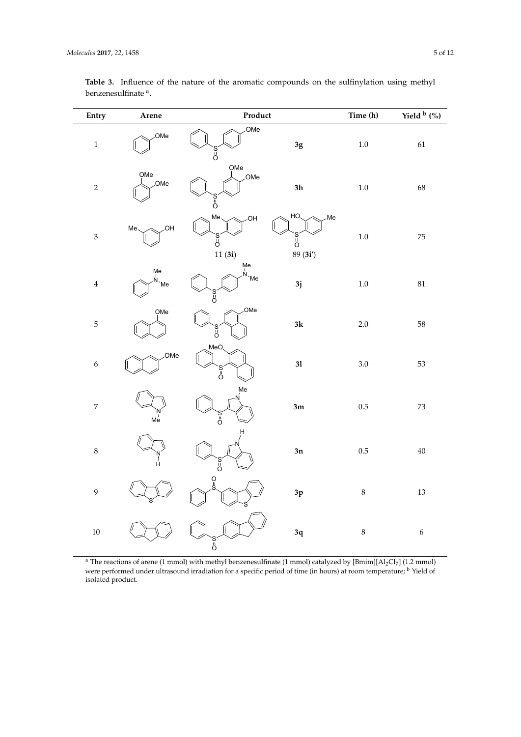| Entry            | $\bold{Arene}$              | Product                              |                                       | Time (h) | Yield $\frac{b}{c}$ (%) |
|------------------|-----------------------------|--------------------------------------|---------------------------------------|----------|-------------------------|
| $\,1\,$          | OMe                         | OMe<br>`S<br>Ö                       | $3\mathrm{g}$                         | $1.0\,$  | 61                      |
| $\sqrt{2}$       | OMe<br>OMe                  | OMe<br>OMe<br>`s<br>Ö                | 3h                                    | $1.0\,$  | 68                      |
| $\mathfrak{Z}$   | .OH<br>Me                   | Me<br>-OH<br>$\frac{S}{O}$<br>11(3i) | HO.<br>Me<br>$\frac{S}{O}$<br>89(3i') | $1.0\,$  | $75\,$                  |
| $\bf 4$          | Me<br>N <sub>N</sub><br>`Me | Me<br>Ń<br>Me<br>$\int_{0}^{8}$      | 3j                                    | $1.0\,$  | 81                      |
| $\overline{5}$   | OMe                         | OMe<br>$\int_{0}^{\infty}$           | 3k                                    | $2.0\,$  | 58                      |
| $\boldsymbol{6}$ | OMe                         | MeO.<br>s<br>Ö                       | 31                                    | $3.0\,$  | 53                      |
| $\boldsymbol{7}$ | $M_e^{\prime}$              | Me<br>`S´<br>Ö                       | 3m                                    | $0.5\,$  | $73\,$                  |
| $\,8\,$          | Ĥ                           | н<br>`S<br>Ö                         | 3n                                    | $0.5\,$  | $40\,$                  |
| $\mathbf{9}$     |                             | S <sub>0</sub>                       | 3p                                    | $\,8\,$  | 13                      |
| $10\,$           |                             | $\frac{S}{O}$                        | 3q                                    | $\,8\,$  | $\boldsymbol{6}$        |

<span id="page-5-0"></span>**Table 3.** Influence of the nature of the aromatic compounds on the sulfinylation using methyl benzenesulfinate <sup>a</sup>. role to stabilize electrons of intermediate in the transition stage (Discussion, Scheme 2). role to stabilize electrons of intermediate in the transition stage (Discussion, Scheme 2). role to stabilize electrons of intermediate in the transition stage (Discussion, Scheme 2). role to stabilize electrons of intermediate in the transition stage (Discussion, Scheme 2). role to stabilize electrons of intermediate in the transition stage (Discussion, Scheme 2). **Table 3.** Influence of the nature of the aromatic compounds on the sulfinylation using methyl benzenesulfinate a **Table 3. Influence of the aromatic compounds on the substantial substantial benzenesulfinate aromatic compounds on the substantial benzenesulfinate and substantial benzenesulfinate and substantial benzenesulfinate and s Table 3. Influence of the aromatic compounds on the aromatic compounds on the substitution using methyl benzenesulfinate**  $\alpha$ **.** 

The reactions of arene (1 mmol) with methyl benzenesulfinate (1 mmol) catalyzed by [Bmim][ $Al_2Cl_7$ ] (1.2 mmol) re performed under ultrasound irradiation for a specific p he reactions of arene (1 mmol) with methyl benzenesulfinate (1 mmol) catalyzed by [Bmim][Al<sub>2</sub>Cl<sub>7</sub>] (1.2 mmol) reactions of arene (1.1 mmol) while the thyl benzeffestimate (1.1 mmol) catalyzed by [binim][Al2Cl7] (1.2 mmol) re performed and temperature maddition for a specific  $\frac{1}{2}$  meached under ultrasonum metric performance (in time of transportation for  $\frac{1}{2}$  mmol) <sup>a</sup> The reactions of arene (1 mmol) with methyl benzenesulfinate (1 mmol) catalyzed by [Bmim][Al<sub>2</sub>Cl<sub>7</sub>] (1.2 mmol) were performed under ultrasound irradiation for a specific period of time (in hours) at room temperature, <sup>b</sup> Yield of isolated product.

 $\sigma$ 

a The reactions of arene (1 mmol) with methyl benzenesulfinate (1 mmol) catalyzed by [Bmim][Al2Cl7] a The reactions of arene (1 mmol) with methyl benzenesulfinate (1 mmol) catalyzed by [Bmim][Al2Cl7]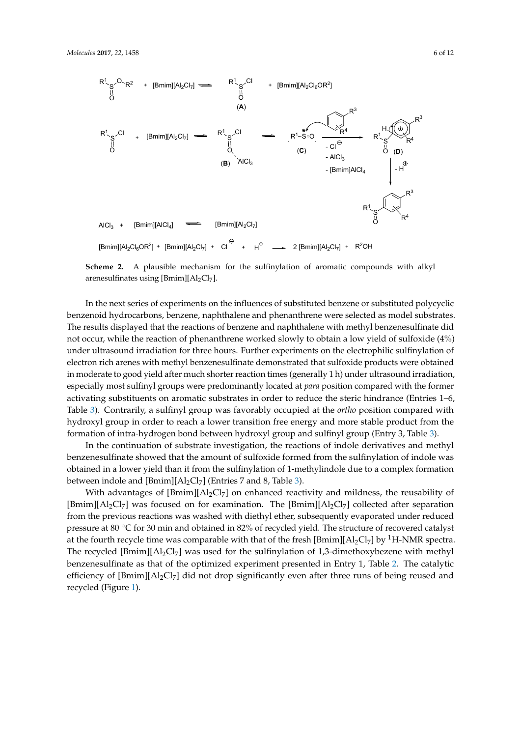<span id="page-6-0"></span>

**Scheme 2.** A plausible mechanism for the sulfinylation of aromatic compounds with alkyl arenesulfinates using  $[Bmim][Al_2Cl_7]$ .

In the next series of experiments on the influences of substituted benzene or substituted In the next series of experiments on the influences of substituted benzene or substituted polycyclic polycyclic benzenoid hydrocarbons, benzene, naphthalene and phenanthrene were selected as model benzenoid hydrocarbons, benzene, naphthalene and phenanthrene were selected as model substrates. substrates. The results displayed that the reactions of benzene and naphthalene with methyl The results displayed that the reactions of benzene and naphthalene with methyl benzenesulfinate did benzenesulfinate did not occur, while the reaction of phenanthrene worked slowly to obtain a low not occur, while the reaction of phenanthrene worked slowly to obtain a low yield of sulfoxide (4%) we cover, we are considered by presummation we hours. Further experiments on the electrophilic sulfinylation of under ultrasound irradiation for three hours. Further experiments on the electrophilic sulfinylation of electron rich arenes with methyl benzenesulfinate demonstrated that sulfoxide products were obtained sulfoxide products were obtained in moderate to good yield after much shorter reaction times in moderate to good yield after much shorter reaction times (generally 1 h) under ultrasound irradiation, especially most sulfinyl groups were predominantly located at *para* position compared with the former activating substituents on aromatic substrates in order to reduce the steric hindrance (Entries 1–6, Table [3\)](#page-5-0). Contrarily, a sulfinyl group was favorably occupied at the *ortho* position compared with hydroxyl group in order to reach a lower transition free energy and more stable product from the formation of intra-hydrogen bond between hydroxyl group and sulfinyl group (Entry 3, Table [3\)](#page-5-0).

In the continuation of substrate investigation, the reactions of indole derivatives and methyl benzenesulfinate showed that the amount of sulfoxide formed from the sulfinylation of indole was obtained in a lower yield than it from the sulfinylation of 1-methylindole due to a complex formation between indole and  $[\text{Bmin}][\text{Al}_2\text{Cl}_7]$  (Entries 7 and 8, Table [3\)](#page-5-0).

With advantages of  $[\text{Bmin}][\text{Al}_2\text{Cl}_7]$  on enhanced reactivity and mildness, the reusability of [Bmim][Al<sub>2</sub>Cl<sub>7</sub>] was focused on for examination. The [Bmim][Al<sub>2</sub>Cl<sub>7</sub>] collected after separation from the previous reactions was washed with diethyl ether, subsequently evaporated under reduced pressure at 80 ◦C for 30 min and obtained in 82% of recycled yield. The structure of recovered catalyst at the fourth recycle time was comparable with that of the fresh [Bmim][Al<sub>2</sub>Cl<sub>7</sub>] by <sup>1</sup>H-NMR spectra. The recycled  $[\text{Bmin}][\text{Al}_2\text{Cl}_7]$  was used for the sulfinylation of 1,3-dimethoxybezene with methyl benzenesulfinate as that of the optimized experiment presented in Entry 1, Table [2.](#page-4-0) The catalytic efficiency of  $[\text{Bmim}][\text{Al}_2\text{Cl}_7]$  did not drop significantly even after three runs of being reused and recycled (Figure [1\)](#page-7-0).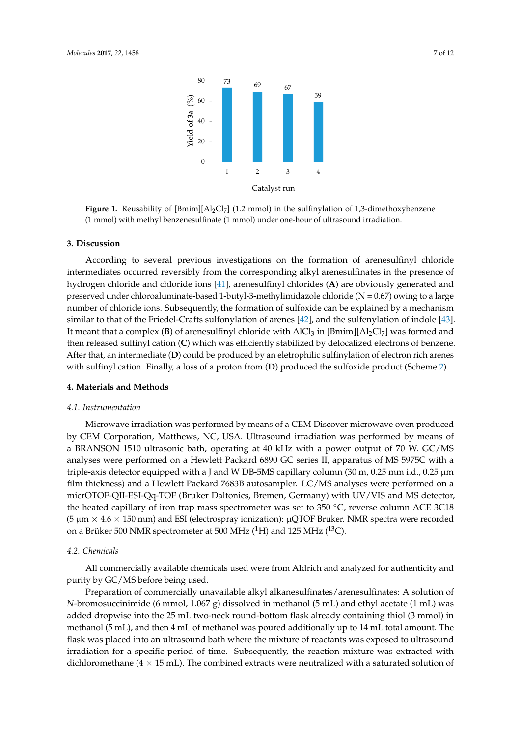<span id="page-7-0"></span>

**Figure 1.** Reusability of [Bmim][Al<sub>2</sub>Cl<sub>7</sub>] (1.2 mmol) in the sulfinylation of 1,3-dimethoxybenzene with methyl benzenesulfinate (1 mmol) under one-hour of ultrasound irradiation. (1 mmol) with methyl benzenesulfinate (1 mmol) under one-hour of ultrasound irradiation.

# **3. Discussion 3. Discussion**

According to several previous investigations on the formation of arenesulfinyl chloride According to several previous investigations on the formation of arenesulfinyl chloride intermediates occurred reversibly from the corresponding alkyl arenesulfinates in the presence of intermediates occurred reversibly from the corresponding alkyl arenesulfinates in the presence of hydrogen chloride and chloride ions [41], arenesulfinyl chlorides (**A**) are obviously generated and hydrogen chloride and chloride ions [\[41\]](#page-12-5), arenesulfinyl chlorides (**A**) are obviously generated and preserved under chloroaluminate-based 1-butyl-3-methylimidazole chloride (N = 0.67) owing to a preserved under chloroaluminate-based 1-butyl-3-methylimidazole chloride (N = 0.67) owing to a large number of chloride ions. Subsequently, the formation of sulfoxide can be explained by a mechanism similar to that of the Friedel-Crafts sulfonylation of arenes [\[42\]](#page-12-6), and the sulfenylation of indole [\[43\]](#page-12-7). It meant that a complex (B) of arenesulfinyl chloride with AlCl<sub>3</sub> in [Bmim][Al<sub>2</sub>Cl<sub>7</sub>] was formed and then released sulfinyl cation (C) which was efficiently stabilized by delocalized electrons of benzene. After that, an intermediate (D) could be produced by an eletrophilic sulfinylation of electron rich arenes with sulfinyl cation. Finally, a loss of a proton from (D) produced the sulfo[xid](#page-6-0)e product (Scheme 2).

#### **4. Materials and Methods**

#### **4. Materials and Methods**  *4.1. Instrumentation*

Microwave irradiation was performed by means of a CEM Discover microwave oven produced by CEM Corporation, Matthews, NC, USA. Ultrasound irradiation was performed by means of a BRANSON 1510 ultrasonic bath, operating at 40 kHz with a power output of 70 W. GC/MS analyses were performed on a Hewlett Packard 6890 GC series II, apparatus of MS 5975C with a triple-axis detector equipped with a J and W DB-5MS capillary column (30 m, 0.25 mm i.d., 0.25 µm film thickness) and a Hewlett Packard 7683B autosampler. LC/MS analyses were performed on a micrOTOF-QII-ESI-Qq-TOF (Bruker Daltonics, Bremen, Germany) with UV/VIS and MS detector, the heated capillary of iron trap mass spectrometer was set to 350 ◦C, reverse column ACE 3C18 (5  $\mu$ m  $\times$  4.6  $\times$  150 mm) and ESI (electrospray ionization):  $\mu$ QTOF Bruker. NMR spectra were recorded on a Brüker 500 NMR spectrometer at 500 MHz  $(^1H)$  and 125 MHz  $(^{13}C)$ .

#### *4.2. Chemicals*

All commercially available chemicals used were from Aldrich and analyzed for authenticity and purity by GC/MS before being used.

Preparation of commercially unavailable alkyl alkanesulfinates/arenesulfinates: A solution of *N*-bromosuccinimide (6 mmol, 1.067 g) dissolved in methanol (5 mL) and ethyl acetate (1 mL) was added dropwise into the 25 mL two-neck round-bottom flask already containing thiol (3 mmol) in methanol (5 mL), and then 4 mL of methanol was poured additionally up to 14 mL total amount. The flask was placed into an ultrasound bath where the mixture of reactants was exposed to ultrasound irradiation for a specific period of time. Subsequently, the reaction mixture was extracted with dichloromethane  $(4 \times 15 \text{ mL})$ . The combined extracts were neutralized with a saturated solution of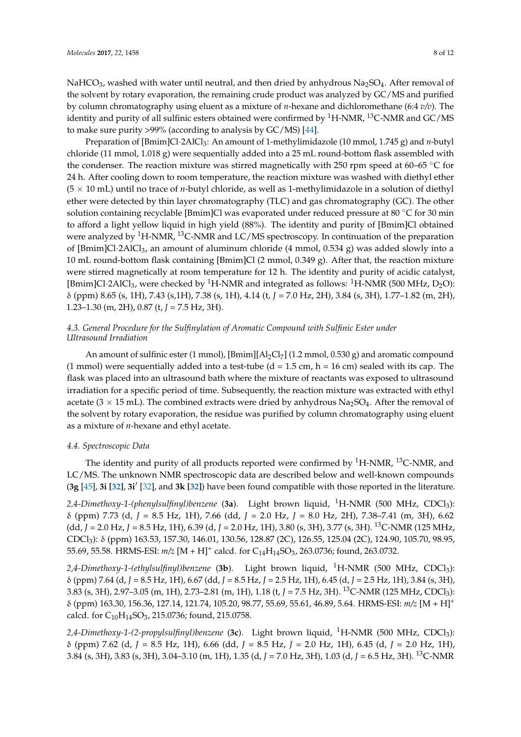NaHCO<sub>3</sub>, washed with water until neutral, and then dried by anhydrous Na<sub>2</sub>SO<sub>4</sub>. After removal of the solvent by rotary evaporation, the remaining crude product was analyzed by GC/MS and purified by column chromatography using eluent as a mixture of *n*-hexane and dichloromethane (6:4 *v/v*). The identity and purity of all sulfinic esters obtained were confirmed by  ${}^{1}H\text{-NMR}$ ,  ${}^{13}C\text{-NMR}$  and GC/MS to make sure purity >99% (according to analysis by GC/MS) [\[44\]](#page-12-8).

Preparation of [Bmim]Cl·2AlCl3: An amount of 1-methylimidazole (10 mmol, 1.745 g) and *n*-butyl chloride (11 mmol, 1.018 g) were sequentially added into a 25 mL round-bottom flask assembled with the condenser. The reaction mixture was stirred magnetically with 250 rpm speed at 60–65 °C for 24 h. After cooling down to room temperature, the reaction mixture was washed with diethyl ether (5 × 10 mL) until no trace of *n*-butyl chloride, as well as 1-methylimidazole in a solution of diethyl ether were detected by thin layer chromatography (TLC) and gas chromatography (GC). The other solution containing recyclable [Bmim]Cl was evaporated under reduced pressure at 80 ◦C for 30 min to afford a light yellow liquid in high yield (88%). The identity and purity of [Bmim]Cl obtained were analyzed by  ${}^{1}$ H-NMR,  ${}^{13}$ C-NMR and LC/MS spectroscopy. In continuation of the preparation of [Bmim]Cl·2AlCl3, an amount of aluminum chloride (4 mmol, 0.534 g) was added slowly into a 10 mL round-bottom flask containing [Bmim]Cl (2 mmol, 0.349 g). After that, the reaction mixture were stirred magnetically at room temperature for 12 h. The identity and purity of acidic catalyst, [Bmim]Cl·2AlCl<sub>3</sub>, were checked by <sup>1</sup>H-NMR and integrated as follows: <sup>1</sup>H-NMR (500 MHz, D<sub>2</sub>O): δ (ppm) 8.65 (s, 1H), 7.43 (s,1H), 7.38 (s, 1H), 4.14 (t, *J* = 7.0 Hz, 2H), 3.84 (s, 3H), 1.77–1.82 (m, 2H), 1.23–1.30 (m, 2H), 0.87 (t, *J* = 7.5 Hz, 3H).

## *4.3. General Procedure for the Sulfinylation of Aromatic Compound with Sulfinic Ester under Ultrasound Irradiation*

An amount of sulfinic ester (1 mmol),  $[\text{Bmin}][\text{Al}_2\text{Cl}_7]$  (1.2 mmol, 0.530 g) and aromatic compound (1 mmol) were sequentially added into a test-tube ( $d = 1.5$  cm,  $h = 16$  cm) sealed with its cap. The flask was placed into an ultrasound bath where the mixture of reactants was exposed to ultrasound irradiation for a specific period of time. Subsequently, the reaction mixture was extracted with ethyl acetate ( $3 \times 15$  mL). The combined extracts were dried by anhydrous Na<sub>2</sub>SO<sub>4</sub>. After the removal of the solvent by rotary evaporation, the residue was purified by column chromatography using eluent as a mixture of *n*-hexane and ethyl acetate.

## *4.4. Spectroscopic Data*

The identity and purity of all products reported were confirmed by  ${}^{1}$ H-NMR,  ${}^{13}$ C-NMR, and LC/MS. The unknown NMR spectroscopic data are described below and well-known compounds (**3g** [\[45\]](#page-12-9), **3i [\[32\]](#page-11-17)**, **3i**<sup>0</sup> [\[32\]](#page-11-17), and **3k [\[32\]](#page-11-17)**) have been found compatible with those reported in the literature.

*2,4-Dimethoxy-1-(phenylsulfinyl)benzene* (**3a**). Light brown liquid, <sup>1</sup>H-NMR (500 MHz, CDCl3): δ (ppm) 7.73 (d, *J* = 8.5 Hz, 1H), 7.66 (dd, *J* = 2.0 Hz, *J* = 8.0 Hz, 2H), 7.38–7.41 (m, 3H), 6.62 (dd, *J* = 2.0 Hz, *J* = 8.5 Hz, 1H), 6.39 (d, *J* = 2.0 Hz, 1H), 3.80 (s, 3H), 3.77 (s, 3H). <sup>13</sup>C-NMR (125 MHz, CDCl3): δ (ppm) 163.53, 157.30, 146.01, 130.56, 128.87 (2C), 126.55, 125.04 (2C), 124.90, 105.70, 98.95, 55.69, 55.58. HRMS-ESI: *m/z* [M + H]<sup>+</sup> calcd. for C14H14SO3, 263.0736; found, 263.0732.

2,4-Dimethoxy-1-(ethylsulfinyl)benzene (3b). Light brown liquid, <sup>1</sup>H-NMR (500 MHz, CDCl<sub>3</sub>): δ (ppm) 7.64 (d, *J* = 8.5 Hz, 1H), 6.67 (dd, *J* = 8.5 Hz, *J* = 2.5 Hz, 1H), 6.45 (d, *J* = 2.5 Hz, 1H), 3.84 (s, 3H), 3.83 (s, 3H), 2.97–3.05 (m, 1H), 2.73–2.81 (m, 1H), 1.18 (t, *J* = 7.5 Hz, 3H). <sup>13</sup>C-NMR (125 MHz, CDCl3): δ (ppm) 163.30, 156.36, 127.14, 121.74, 105.20, 98.77, 55.69, 55.61, 46.89, 5.64. HRMS-ESI: *m/z* [M + H]<sup>+</sup> calcd. for  $C_{10}H_{14}SO_3$ , 215.0736; found, 215.0758.

*2,4-Dimethoxy-1-(2-propylsulfinyl)benzene* (**3c**). Light brown liquid, <sup>1</sup>H-NMR (500 MHz, CDCl3): δ (ppm) 7.62 (d, *J* = 8.5 Hz, 1H), 6.66 (dd, *J* = 8.5 Hz, *J* = 2.0 Hz, 1H), 6.45 (d, *J* = 2.0 Hz, 1H), 3.84 (s, 3H), 3.83 (s, 3H), 3.04–3.10 (m, 1H), 1.35 (d, *J* = 7.0 Hz, 3H), 1.03 (d, *J* = 6.5 Hz, 3H). <sup>13</sup>C-NMR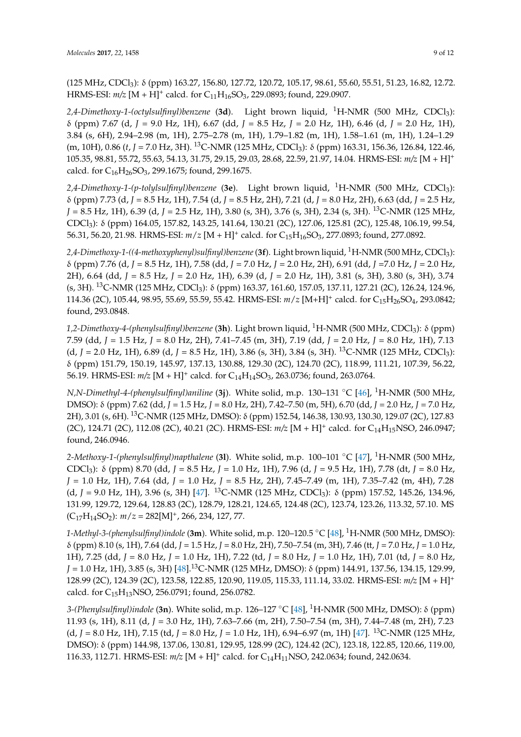(125 MHz, CDCl3): δ (ppm) 163.27, 156.80, 127.72, 120.72, 105.17, 98.61, 55.60, 55.51, 51.23, 16.82, 12.72. HRMS-ESI:  $m/z$  [M + H]<sup>+</sup> calcd. for C<sub>11</sub>H<sub>16</sub>SO<sub>3</sub>, 229.0893; found, 229.0907.

*2,4-Dimethoxy-1-(octylsulfinyl)benzene* (**3d**). Light brown liquid, <sup>1</sup>H-NMR (500 MHz, CDCl3): δ (ppm) 7.67 (d, *J* = 9.0 Hz, 1H), 6.67 (dd, *J* = 8.5 Hz, *J* = 2.0 Hz, 1H), 6.46 (d, *J* = 2.0 Hz, 1H), 3.84 (s, 6H), 2.94–2.98 (m, 1H), 2.75–2.78 (m, 1H), 1.79–1.82 (m, 1H), 1.58–1.61 (m, 1H), 1.24–1.29 (m, 10H), 0.86 (*t*, *J* = 7.0 Hz, 3H). <sup>13</sup>C-NMR (125 MHz, CDCl3): δ (ppm) 163.31, 156.36, 126.84, 122.46, 105.35, 98.81, 55.72, 55.63, 54.13, 31.75, 29.15, 29.03, 28.68, 22.59, 21.97, 14.04. HRMS-ESI: *m/z* [M + H]<sup>+</sup> calcd. for  $C_{16}H_{26}SO_3$ , 299.1675; found, 299.1675.

2,4-Dimethoxy-1-(p-tolylsulfinyl)benzene (3e). Light brown liquid, <sup>1</sup>H-NMR (500 MHz, CDCl<sub>3</sub>): δ (ppm) 7.73 (d, *J* = 8.5 Hz, 1H), 7.54 (d, *J* = 8.5 Hz, 2H), 7.21 (d, *J* = 8.0 Hz, 2H), 6.63 (dd, *J* = 2.5 Hz, *J* = 8.5 Hz, 1H), 6.39 (d, *J* = 2.5 Hz, 1H), 3.80 (s, 3H), 3.76 (s, 3H), 2.34 (s, 3H). <sup>13</sup>C-NMR (125 MHz, CDCl3): δ (ppm) 164.05, 157.82, 143.25, 141.64, 130.21 (2C), 127.06, 125.81 (2C), 125.48, 106.19, 99.54, 56.31, 56.20, 21.98. HRMS-ESI: *m*/*z* [M + H]<sup>+</sup> calcd. for C15H16SO3, 277.0893; found, 277.0892.

*2,4-Dimethoxy-1-((4-methoxyphenyl)sulfinyl)benzene* (**3f**). Light brown liquid, <sup>1</sup>H-NMR (500 MHz, CDCl3): δ (ppm) 7.76 (d, *J* = 8.5 Hz, 1H), 7.58 (dd, *J* = 7.0 Hz, *J* = 2.0 Hz, 2H), 6.91 (dd, *J* =7.0 Hz, *J* = 2.0 Hz, 2H), 6.64 (dd, *J* = 8.5 Hz, *J* = 2.0 Hz, 1H), 6.39 (d, *J* = 2.0 Hz, 1H), 3.81 (s, 3H), 3.80 (s, 3H), 3.74 (s, 3H). <sup>13</sup>C-NMR (125 MHz, CDCl3): δ (ppm) 163.37, 161.60, 157.05, 137.11, 127.21 (2C), 126.24, 124.96, 114.36 (2C), 105.44, 98.95, 55.69, 55.59, 55.42. HRMS-ESI: *m*/*z* [M+H]<sup>+</sup> calcd. for C15H26SO4, 293.0842; found, 293.0848.

*1,2-Dimethoxy-4-(phenylsulfinyl)benzene* (**3h**). Light brown liquid, <sup>1</sup>H-NMR (500 MHz, CDCl<sub>3</sub>): δ (ppm) 7.59 (dd, *J* = 1.5 Hz, *J* = 8.0 Hz, 2H), 7.41–7.45 (m, 3H), 7.19 (dd, *J* = 2.0 Hz, *J* = 8.0 Hz, 1H), 7.13 (d,  $J = 2.0$  Hz, 1H), 6.89 (d,  $J = 8.5$  Hz, 1H), 3.86 (s, 3H), 3.84 (s, 3H). <sup>13</sup>C-NMR (125 MHz, CDCl<sub>3</sub>): δ (ppm) 151.79, 150.19, 145.97, 137.13, 130.88, 129.30 (2C), 124.70 (2C), 118.99, 111.21, 107.39, 56.22, 56.19. HRMS-ESI:  $m/z$  [M + H]<sup>+</sup> calcd. for C<sub>14</sub>H<sub>14</sub>SO<sub>3</sub>, 263.0736; found, 263.0764.

*N,N-Dimethyl-4-(phenylsulfinyl)aniline* (**3j**). White solid, m.p. 130–131 ◦C [\[46\]](#page-12-10), <sup>1</sup>H-NMR (500 MHz, DMSO): δ (ppm) 7.62 (dd, *J* = 1.5 Hz, *J* = 8.0 Hz, 2H), 7.42–7.50 (m, 5H), 6.70 (dd, *J* = 2.0 Hz, *J* = 7.0 Hz, 2H), 3.01 (s, 6H). <sup>13</sup>C-NMR (125 MHz, DMSO): δ (ppm) 152.54, 146.38, 130.93, 130.30, 129.07 (2C), 127.83 (2C), 124.71 (2C), 112.08 (2C), 40.21 (2C). HRMS-ESI:  $m/z$  [M + H]<sup>+</sup> calcd. for C<sub>14</sub>H<sub>15</sub>NSO, 246.0947; found, 246.0946.

*2-Methoxy-1-(phenylsulfinyl)napthalene* (**3l**). White solid, m.p. 100–101 ◦C [\[47\]](#page-12-11), <sup>1</sup>H-NMR (500 MHz, CDCl3): δ (ppm) 8.70 (dd, *J* = 8.5 Hz, *J* = 1.0 Hz, 1H), 7.96 (d, *J* = 9.5 Hz, 1H), 7.78 (dt, *J* = 8.0 Hz, *J* = 1.0 Hz, 1H), 7.64 (dd, *J* = 1.0 Hz, *J* = 8.5 Hz, 2H), 7.45–7.49 (m, 1H), 7.35–7.42 (m, 4H), 7.28 (d,  $J = 9.0$  Hz, 1H), 3.96 (s, 3H) [\[47\]](#page-12-11). <sup>13</sup>C-NMR (125 MHz, CDCl<sub>3</sub>):  $\delta$  (ppm) 157.52, 145.26, 134.96, 131.99, 129.72, 129.64, 128.83 (2C), 128.79, 128.21, 124.65, 124.48 (2C), 123.74, 123.26, 113.32, 57.10. MS  $(C_{17}H_{14}SO_2)$ :  $m/z = 282[M]^+$ , 266, 234, 127, 77.

*1-Methyl-3-(phenylsulfinyl)indole* (**3m**). White solid, m.p. 120–120.5 ◦C [\[48\]](#page-12-12), <sup>1</sup>H-NMR (500 MHz, DMSO): δ (ppm) 8.10 (s, 1H), 7.64 (dd, *J* = 1.5 Hz, *J* = 8.0 Hz, 2H), 7.50–7.54 (m, 3H), 7.46 (tt, *J* = 7.0 Hz, *J* = 1.0 Hz, 1H), 7.25 (dd, *J* = 8.0 Hz, *J* = 1.0 Hz, 1H), 7.22 (td, *J* = 8.0 Hz, *J* = 1.0 Hz, 1H), 7.01 (td, *J* = 8.0 Hz, *J* = 1.0 Hz, 1H), 3.85 (s, 3H) [\[48\]](#page-12-12).13C-NMR (125 MHz, DMSO): δ (ppm) 144.91, 137.56, 134.15, 129.99, 128.99 (2C), 124.39 (2C), 123.58, 122.85, 120.90, 119.05, 115.33, 111.14, 33.02. HRMS-ESI: *m/z* [M + H]<sup>+</sup> calcd. for  $C_{15}H_{13}$ NSO, 256.0791; found, 256.0782.

*3-(Phenylsulfinyl)indole* (**3n**). White solid, m.p. 126–127 ◦C [\[48\]](#page-12-12), <sup>1</sup>H-NMR (500 MHz, DMSO): δ (ppm) 11.93 (s, 1H), 8.11 (d, *J* = 3.0 Hz, 1H), 7.63–7.66 (m, 2H), 7.50–7.54 (m, 3H), 7.44–7.48 (m, 2H), 7.23 (d, *J* = 8.0 Hz, 1H), 7.15 (td, *J* = 8.0 Hz, *J* = 1.0 Hz, 1H), 6.94–6.97 (m, 1H) [\[47\]](#page-12-11). <sup>13</sup>C-NMR (125 MHz, DMSO): δ (ppm) 144.98, 137.06, 130.81, 129.95, 128.99 (2C), 124.42 (2C), 123.18, 122.85, 120.66, 119.00, 116.33, 112.71. HRMS-ESI:  $m/z$  [M + H]<sup>+</sup> calcd. for C<sub>14</sub>H<sub>11</sub>NSO, 242.0634; found, 242.0634.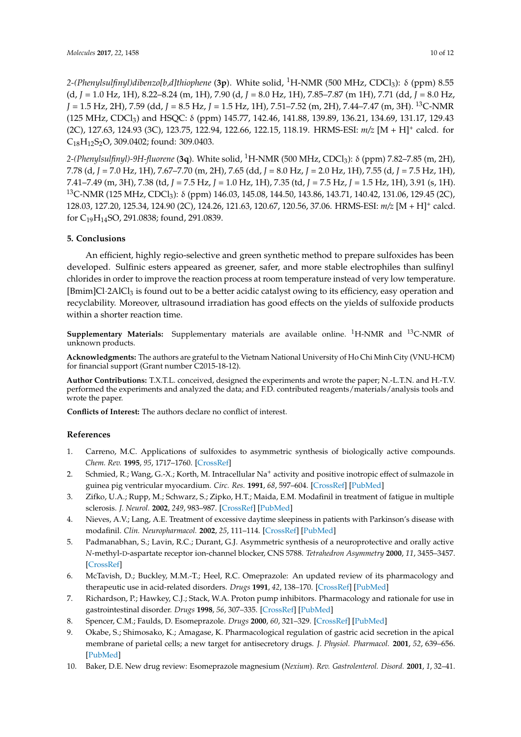*2-(Phenylsulfinyl)dibenzo[b,d]thiophene* (**3p**). White solid, <sup>1</sup>H-NMR (500 MHz, CDCl3): δ (ppm) 8.55 (d, *J* = 1.0 Hz, 1H), 8.22–8.24 (m, 1H), 7.90 (d, *J* = 8.0 Hz, 1H), 7.85–7.87 (m 1H), 7.71 (dd, *J* = 8.0 Hz, *J* = 1.5 Hz, 2H), 7.59 (dd, *J* = 8.5 Hz, *J* = 1.5 Hz, 1H), 7.51–7.52 (m, 2H), 7.44–7.47 (m, 3H). <sup>13</sup>C-NMR (125 MHz, CDCl3) and HSQC: δ (ppm) 145.77, 142.46, 141.88, 139.89, 136.21, 134.69, 131.17, 129.43 (2C), 127.63, 124.93 (3C), 123.75, 122.94, 122.66, 122.15, 118.19. HRMS-ESI: *m/z* [M + H]<sup>+</sup> calcd. for  $C_{18}H_{12}S_2O$ , 309.0402; found: 309.0403.

*2-(Phenylsulfinyl)-9H-fluorene* (**3q**). White solid, <sup>1</sup>H-NMR (500 MHz, CDCl3): δ (ppm) 7.82–7.85 (m, 2H), 7.78 (d, *J* = 7.0 Hz, 1H), 7.67–7.70 (m, 2H), 7.65 (dd, *J* = 8.0 Hz, *J* = 2.0 Hz, 1H), 7.55 (d, *J* = 7.5 Hz, 1H), 7.41–7.49 (m, 3H), 7.38 (td, *J* = 7.5 Hz, *J* = 1.0 Hz, 1H), 7.35 (td, *J* = 7.5 Hz, *J* = 1.5 Hz, 1H), 3.91 (s, 1H).  $^{13}$ C-NMR (125 MHz, CDCl<sub>3</sub>):  $\delta$  (ppm) 146.03, 145.08, 144.50, 143.86, 143.71, 140.42, 131.06, 129.45 (2C), 128.03, 127.20, 125.34, 124.90 (2C), 124.26, 121.63, 120.67, 120.56, 37.06. HRMS-ESI: *m/z* [M + H]<sup>+</sup> calcd. for C19H14SO, 291.0838; found, 291.0839.

## **5. Conclusions**

An efficient, highly regio-selective and green synthetic method to prepare sulfoxides has been developed. Sulfinic esters appeared as greener, safer, and more stable electrophiles than sulfinyl chlorides in order to improve the reaction process at room temperature instead of very low temperature. [Bmim]Cl·2AlCl<sup>3</sup> is found out to be a better acidic catalyst owing to its efficiency, easy operation and recyclability. Moreover, ultrasound irradiation has good effects on the yields of sulfoxide products within a shorter reaction time.

**Supplementary Materials:** Supplementary materials are available online. <sup>1</sup>H-NMR and <sup>13</sup>C-NMR of unknown products.

**Acknowledgments:** The authors are grateful to the Vietnam National University of Ho Chi Minh City (VNU-HCM) for financial support (Grant number C2015-18-12).

**Author Contributions:** T.X.T.L. conceived, designed the experiments and wrote the paper; N.-L.T.N. and H.-T.V. performed the experiments and analyzed the data; and F.D. contributed reagents/materials/analysis tools and wrote the paper.

**Conflicts of Interest:** The authors declare no conflict of interest.

## **References**

- <span id="page-10-0"></span>1. Carreno, M.C. Applications of sulfoxides to asymmetric synthesis of biologically active compounds. *Chem. Rev.* **1995**, *95*, 1717–1760. [\[CrossRef\]](http://dx.doi.org/10.1021/cr00038a002)
- <span id="page-10-1"></span>2. Schmied, R.; Wang, G.-X.; Korth, M. Intracellular Na<sup>+</sup> activity and positive inotropic effect of sulmazole in guinea pig ventricular myocardium. *Circ. Res.* **1991**, *68*, 597–604. [\[CrossRef\]](http://dx.doi.org/10.1161/01.RES.68.2.597) [\[PubMed\]](http://www.ncbi.nlm.nih.gov/pubmed/1991358)
- <span id="page-10-2"></span>3. Zifko, U.A.; Rupp, M.; Schwarz, S.; Zipko, H.T.; Maida, E.M. Modafinil in treatment of fatigue in multiple sclerosis. *J. Neurol.* **2002**, *249*, 983–987. [\[CrossRef\]](http://dx.doi.org/10.1007/s00415-002-0765-6) [\[PubMed\]](http://www.ncbi.nlm.nih.gov/pubmed/12195441)
- <span id="page-10-3"></span>4. Nieves, A.V.; Lang, A.E. Treatment of excessive daytime sleepiness in patients with Parkinson's disease with modafinil. *Clin. Neuropharmacol.* **2002**, *25*, 111–114. [\[CrossRef\]](http://dx.doi.org/10.1097/00002826-200203000-00010) [\[PubMed\]](http://www.ncbi.nlm.nih.gov/pubmed/11981239)
- <span id="page-10-4"></span>5. Padmanabhan, S.; Lavin, R.C.; Durant, G.J. Asymmetric synthesis of a neuroprotective and orally active *N*-methyl-D-aspartate receptor ion-channel blocker, CNS 5788. *Tetrahedron Asymmetry* **2000**, *11*, 3455–3457. [\[CrossRef\]](http://dx.doi.org/10.1016/S0957-4166(00)00328-1)
- <span id="page-10-5"></span>6. McTavish, D.; Buckley, M.M.-T.; Heel, R.C. Omeprazole: An updated review of its pharmacology and therapeutic use in acid-related disorders. *Drugs* **1991**, *42*, 138–170. [\[CrossRef\]](http://dx.doi.org/10.2165/00003495-199142010-00008) [\[PubMed\]](http://www.ncbi.nlm.nih.gov/pubmed/1718683)
- 7. Richardson, P.; Hawkey, C.J.; Stack, W.A. Proton pump inhibitors. Pharmacology and rationale for use in gastrointestinal disorder. *Drugs* **1998**, *56*, 307–335. [\[CrossRef\]](http://dx.doi.org/10.2165/00003495-199856030-00002) [\[PubMed\]](http://www.ncbi.nlm.nih.gov/pubmed/9777309)
- 8. Spencer, C.M.; Faulds, D. Esomeprazole. *Drugs* **2000**, *60*, 321–329. [\[CrossRef\]](http://dx.doi.org/10.2165/00003495-200060020-00006) [\[PubMed\]](http://www.ncbi.nlm.nih.gov/pubmed/10983736)
- 9. Okabe, S.; Shimosako, K.; Amagase, K. Pharmacological regulation of gastric acid secretion in the apical membrane of parietal cells; a new target for antisecretory drugs. *J. Physiol. Pharmacol.* **2001**, *52*, 639–656. [\[PubMed\]](http://www.ncbi.nlm.nih.gov/pubmed/11787764)
- 10. Baker, D.E. New drug review: Esomeprazole magnesium (*Nexium*). *Rev. Gastrolenterol. Disord.* **2001**, *1*, 32–41.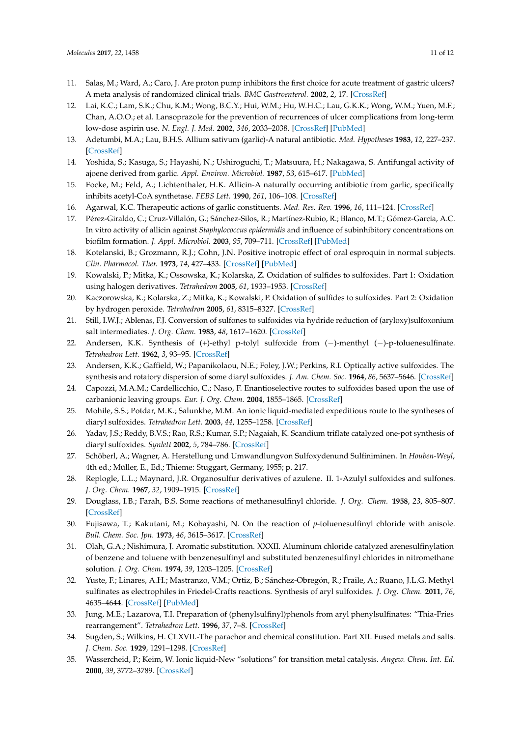- 11. Salas, M.; Ward, A.; Caro, J. Are proton pump inhibitors the first choice for acute treatment of gastric ulcers? A meta analysis of randomized clinical trials. *BMC Gastroenterol.* **2002**, *2*, 17. [\[CrossRef\]](http://dx.doi.org/10.1186/1471-230X-2-17)
- <span id="page-11-0"></span>12. Lai, K.C.; Lam, S.K.; Chu, K.M.; Wong, B.C.Y.; Hui, W.M.; Hu, W.H.C.; Lau, G.K.K.; Wong, W.M.; Yuen, M.F.; Chan, A.O.O.; et al. Lansoprazole for the prevention of recurrences of ulcer complications from long-term low-dose aspirin use. *N. Engl. J. Med.* **2002**, *346*, 2033–2038. [\[CrossRef\]](http://dx.doi.org/10.1056/NEJMoa012877) [\[PubMed\]](http://www.ncbi.nlm.nih.gov/pubmed/12087138)
- <span id="page-11-1"></span>13. Adetumbi, M.A.; Lau, B.H.S. Allium sativum (garlic)-A natural antibiotic. *Med. Hypotheses* **1983**, *12*, 227–237. [\[CrossRef\]](http://dx.doi.org/10.1016/0306-9877(83)90040-3)
- 14. Yoshida, S.; Kasuga, S.; Hayashi, N.; Ushiroguchi, T.; Matsuura, H.; Nakagawa, S. Antifungal activity of ajoene derived from garlic. *Appl. Environ. Microbiol.* **1987**, *53*, 615–617. [\[PubMed\]](http://www.ncbi.nlm.nih.gov/pubmed/3555334)
- 15. Focke, M.; Feld, A.; Lichtenthaler, H.K. Allicin-A naturally occurring antibiotic from garlic, specifically inhibits acetyl-CoA synthetase. *FEBS Lett.* **1990**, *261*, 106–108. [\[CrossRef\]](http://dx.doi.org/10.1016/0014-5793(90)80647-2)
- 16. Agarwal, K.C. Therapeutic actions of garlic constituents. *Med. Res. Rev.* **1996**, *16*, 111–124. [\[CrossRef\]](http://dx.doi.org/10.1002/(SICI)1098-1128(199601)16:1<111::AID-MED4>3.0.CO;2-5)
- <span id="page-11-2"></span>17. Pérez-Giraldo, C.; Cruz-Villalón, G.; Sánchez-Silos, R.; Martínez-Rubio, R.; Blanco, M.T.; Gómez-García, A.C. In vitro activity of allicin against *Staphylococcus epidermidis* and influence of subinhibitory concentrations on biofilm formation. *J. Appl. Microbiol.* **2003**, *95*, 709–711. [\[CrossRef\]](http://dx.doi.org/10.1046/j.1365-2672.2003.02030.x) [\[PubMed\]](http://www.ncbi.nlm.nih.gov/pubmed/12969283)
- <span id="page-11-3"></span>18. Kotelanski, B.; Grozmann, R.J.; Cohn, J.N. Positive inotropic effect of oral esproquin in normal subjects. *Clin. Pharmacol. Ther.* **1973**, *14*, 427–433. [\[CrossRef\]](http://dx.doi.org/10.1002/cpt1973143427) [\[PubMed\]](http://www.ncbi.nlm.nih.gov/pubmed/4698571)
- <span id="page-11-4"></span>19. Kowalski, P.; Mitka, K.; Ossowska, K.; Kolarska, Z. Oxidation of sulfides to sulfoxides. Part 1: Oxidation using halogen derivatives. *Tetrahedron* **2005**, *61*, 1933–1953. [\[CrossRef\]](http://dx.doi.org/10.1016/j.tet.2004.11.041)
- <span id="page-11-5"></span>20. Kaczorowska, K.; Kolarska, Z.; Mitka, K.; Kowalski, P. Oxidation of sulfides to sulfoxides. Part 2: Oxidation by hydrogen peroxide. *Tetrahedron* **2005**, *61*, 8315–8327. [\[CrossRef\]](http://dx.doi.org/10.1016/j.tet.2005.05.044)
- <span id="page-11-6"></span>21. Still, I.W.J.; Ablenas, F.J. Conversion of sulfones to sulfoxides via hydride reduction of (aryloxy)sulfoxonium salt intermediates. *J. Org. Chem.* **1983**, *48*, 1617–1620. [\[CrossRef\]](http://dx.doi.org/10.1021/jo00158a009)
- <span id="page-11-7"></span>22. Andersen, K.K. Synthesis of (+)-ethyl p-tolyl sulfoxide from (−)-menthyl (−)-p-toluenesulfinate. *Tetrahedron Lett.* **1962**, *3*, 93–95. [\[CrossRef\]](http://dx.doi.org/10.1016/S0040-4039(00)71106-3)
- <span id="page-11-8"></span>23. Andersen, K.K.; Gaffield, W.; Papanikolaou, N.E.; Foley, J.W.; Perkins, R.I. Optically active sulfoxides. The synthesis and rotatory dispersion of some diaryl sulfoxides. *J. Am. Chem. Soc.* **1964**, *86*, 5637–5646. [\[CrossRef\]](http://dx.doi.org/10.1021/ja01078a047)
- <span id="page-11-9"></span>24. Capozzi, M.A.M.; Cardellicchio, C.; Naso, F. Enantioselective routes to sulfoxides based upon the use of carbanionic leaving groups. *Eur. J. Org. Chem.* **2004**, 1855–1865. [\[CrossRef\]](http://dx.doi.org/10.1002/ejoc.200300497)
- <span id="page-11-10"></span>25. Mohile, S.S.; Potdar, M.K.; Salunkhe, M.M. An ionic liquid-mediated expeditious route to the syntheses of diaryl sulfoxides. *Tetrahedron Lett.* **2003**, *44*, 1255–1258. [\[CrossRef\]](http://dx.doi.org/10.1016/S0040-4039(02)02786-7)
- <span id="page-11-11"></span>26. Yadav, J.S.; Reddy, B.V.S.; Rao, R.S.; Kumar, S.P.; Nagaiah, K. Scandium triflate catalyzed one-pot synthesis of diaryl sulfoxides. *Synlett* **2002**, *5*, 784–786. [\[CrossRef\]](http://dx.doi.org/10.1055/s-2002-25330)
- <span id="page-11-12"></span>27. Schöberl, A.; Wagner, A. Herstellung und Umwandlungvon Sulfoxydenund Sulfiniminen. In *Houben-Weyl*, 4th ed.; Müller, E., Ed.; Thieme: Stuggart, Germany, 1955; p. 217.
- <span id="page-11-13"></span>28. Replogle, L.L.; Maynard, J.R. Organosulfur derivatives of azulene. II. 1-Azulyl sulfoxides and sulfones. *J. Org. Chem.* **1967**, *32*, 1909–1915. [\[CrossRef\]](http://dx.doi.org/10.1021/jo01281a046)
- <span id="page-11-14"></span>29. Douglass, I.B.; Farah, B.S. Some reactions of methanesulfinyl chloride. *J. Org. Chem.* **1958**, *23*, 805–807. [\[CrossRef\]](http://dx.doi.org/10.1021/jo01100a010)
- <span id="page-11-16"></span>30. Fujisawa, T.; Kakutani, M.; Kobayashi, N. On the reaction of *p*-toluenesulfinyl chloride with anisole. *Bull. Chem. Soc. Jpn.* **1973**, *46*, 3615–3617. [\[CrossRef\]](http://dx.doi.org/10.1246/bcsj.46.3615)
- <span id="page-11-15"></span>31. Olah, G.A.; Nishimura, J. Aromatic substitution. XXXII. Aluminum chloride catalyzed arenesulfinylation of benzene and toluene with benzenesulfinyl and substituted benzenesulfinyl chlorides in nitromethane solution. *J. Org. Chem.* **1974**, *39*, 1203–1205. [\[CrossRef\]](http://dx.doi.org/10.1021/jo00923a008)
- <span id="page-11-17"></span>32. Yuste, F.; Linares, A.H.; Mastranzo, V.M.; Ortiz, B.; Sánchez-Obregón, R.; Fraile, A.; Ruano, J.L.G. Methyl sulfinates as electrophiles in Friedel-Crafts reactions. Synthesis of aryl sulfoxides. *J. Org. Chem.* **2011**, *76*, 4635–4644. [\[CrossRef\]](http://dx.doi.org/10.1021/jo2006335) [\[PubMed\]](http://www.ncbi.nlm.nih.gov/pubmed/21506555)
- <span id="page-11-18"></span>33. Jung, M.E.; Lazarova, T.I. Preparation of (phenylsulfinyl)phenols from aryl phenylsulfinates: "Thia-Fries rearrangement". *Tetrahedron Lett.* **1996**, *37*, 7–8. [\[CrossRef\]](http://dx.doi.org/10.1016/0040-4039(95)02068-3)
- <span id="page-11-19"></span>34. Sugden, S.; Wilkins, H. CLXVII.-The parachor and chemical constitution. Part XII. Fused metals and salts. *J. Chem. Soc.* **1929**, 1291–1298. [\[CrossRef\]](http://dx.doi.org/10.1039/JR9290001291)
- <span id="page-11-20"></span>35. Wassercheid, P.; Keim, W. Ionic liquid-New "solutions" for transition metal catalysis. *Angew. Chem. Int. Ed.* **2000**, *39*, 3772–3789. [\[CrossRef\]](http://dx.doi.org/10.1002/1521-3773(20001103)39:21<3772::AID-ANIE3772>3.0.CO;2-5)